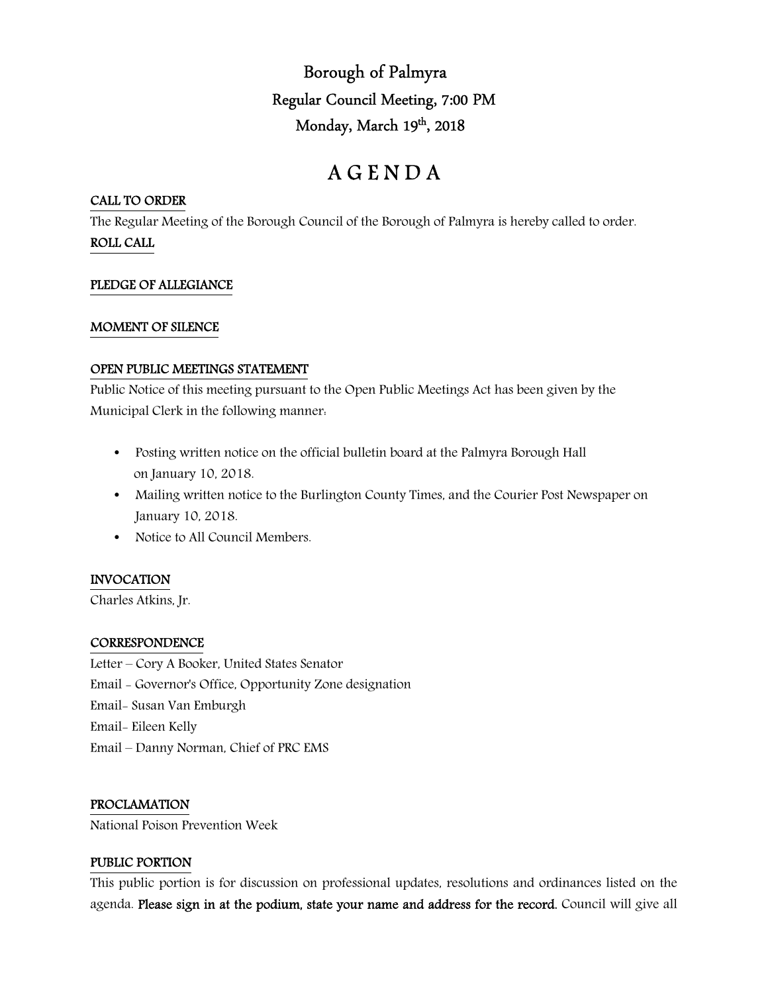Borough of Palmyra Regular Council Meeting, 7:00 PM Monday, March 19th, 2018

# A G E N D A

#### CALL TO ORDER

The Regular Meeting of the Borough Council of the Borough of Palmyra is hereby called to order. ROLL CALL

### PLEDGE OF ALLEGIANCE

#### MOMENT OF SILENCE

#### OPEN PUBLIC MEETINGS STATEMENT

Public Notice of this meeting pursuant to the Open Public Meetings Act has been given by the Municipal Clerk in the following manner:

- Posting written notice on the official bulletin board at the Palmyra Borough Hall on January 10, 2018.
- Mailing written notice to the Burlington County Times, and the Courier Post Newspaper on January 10, 2018.
- Notice to All Council Members.

# INVOCATION

Charles Atkins, Jr.

#### **CORRESPONDENCE**

Letter – Cory A Booker, United States Senator Email - Governor's Office, Opportunity Zone designation Email- Susan Van Emburgh Email- Eileen Kelly Email – Danny Norman, Chief of PRC EMS

# PROCLAMATION

National Poison Prevention Week

#### PUBLIC PORTION

This public portion is for discussion on professional updates, resolutions and ordinances listed on the agenda. Please sign in at the podium, state your name and address for the record. Council will give all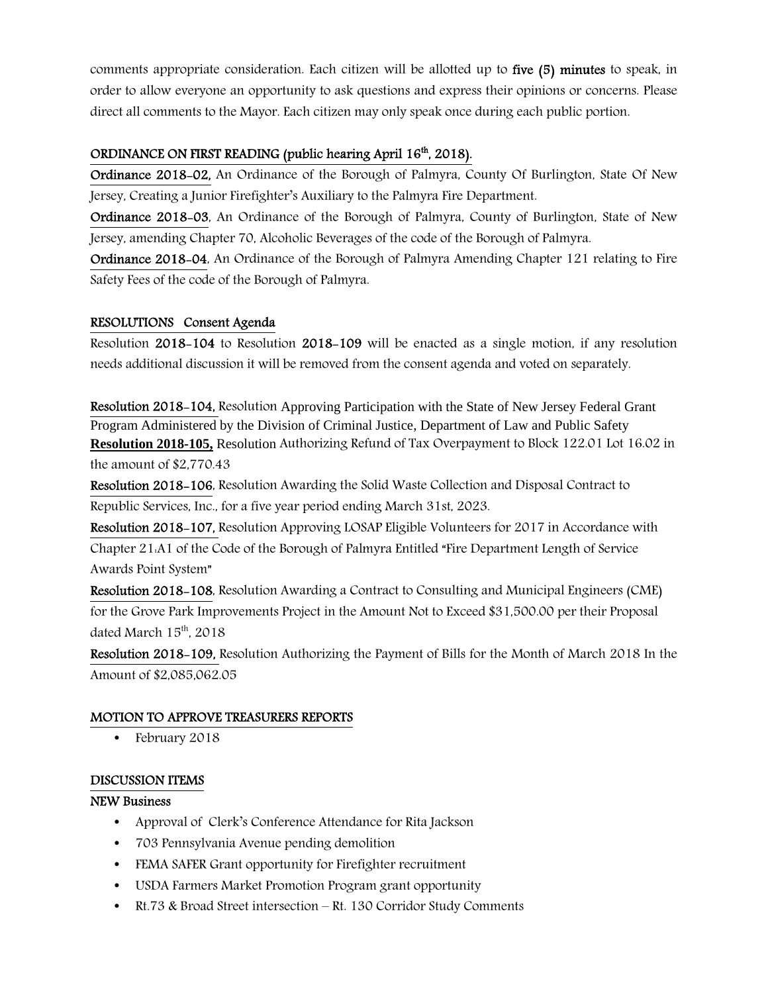comments appropriate consideration. Each citizen will be allotted up to five (5) minutes to speak, in order to allow everyone an opportunity to ask questions and express their opinions or concerns. Please direct all comments to the Mayor. Each citizen may only speak once during each public portion.

# ORDINANCE ON FIRST READING (public hearing April 16<sup>th</sup>, 2018).

Ordinance 2018-02, An Ordinance of the Borough of Palmyra, County Of Burlington, State Of New Jersey, Creating a Junior Firefighter's Auxiliary to the Palmyra Fire Department.

Ordinance 2018-03, An Ordinance of the Borough of Palmyra, County of Burlington, State of New Jersey, amending Chapter 70, Alcoholic Beverages of the code of the Borough of Palmyra.

Ordinance 2018-04, An Ordinance of the Borough of Palmyra Amending Chapter 121 relating to Fire Safety Fees of the code of the Borough of Palmyra.

# RESOLUTIONS Consent Agenda

Resolution 2018-104 to Resolution 2018-109 will be enacted as a single motion, if any resolution needs additional discussion it will be removed from the consent agenda and voted on separately.

Resolution 2018-104, Resolution Approving Participation with the State of New Jersey Federal Grant Program Administered by the Division of Criminal Justice, Department of Law and Public Safety **Resolution 2018-105,** Resolution Authorizing Refund of Tax Overpayment to Block 122.01 Lot 16.02 in the amount of \$2,770.43

Resolution 2018-106, Resolution Awarding the Solid Waste Collection and Disposal Contract to Republic Services, Inc., for a five year period ending March 31st, 2023.

Resolution 2018-107, Resolution Approving LOSAP Eligible Volunteers for 2017 in Accordance with Chapter 21:A1 of the Code of the Borough of Palmyra Entitled "Fire Department Length of Service Awards Point System"

Resolution 2018-108, Resolution Awarding a Contract to Consulting and Municipal Engineers (CME) for the Grove Park Improvements Project in the Amount Not to Exceed \$31,500.00 per their Proposal dated March  $15<sup>th</sup>$ , 2018

Resolution 2018-109, Resolution Authorizing the Payment of Bills for the Month of March 2018 In the Amount of \$2,085,062.05

# MOTION TO APPROVE TREASURERS REPORTS

• February 2018

# DISCUSSION ITEMS

#### NEW Business

- Approval of Clerk's Conference Attendance for Rita Jackson
- 703 Pennsylvania Avenue pending demolition
- FEMA SAFER Grant opportunity for Firefighter recruitment
- USDA Farmers Market Promotion Program grant opportunity
- Rt.73 & Broad Street intersection Rt. 130 Corridor Study Comments